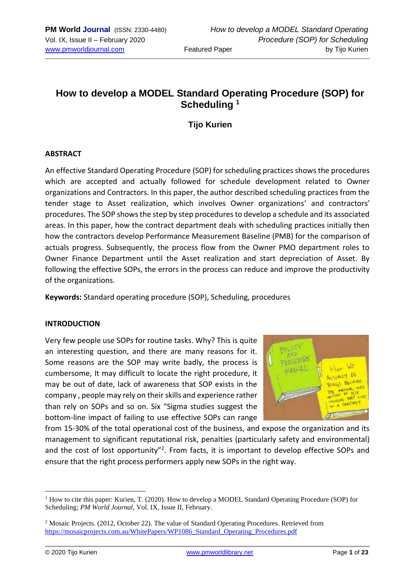# **How to develop a MODEL Standard Operating Procedure (SOP) for Scheduling <sup>1</sup>**

## **Tijo Kurien**

## **ABSTRACT**

An effective Standard Operating Procedure (SOP) for scheduling practices shows the procedures which are accepted and actually followed for schedule development related to Owner organizations and Contractors. In this paper, the author described scheduling practices from the tender stage to Asset realization, which involves Owner organizations' and contractors' procedures. The SOP shows the step by step procedures to develop a schedule and its associated areas. In this paper, how the contract department deals with scheduling practices initially then how the contractors develop Performance Measurement Baseline (PMB) for the comparison of actuals progress. Subsequently, the process flow from the Owner PMO department roles to Owner Finance Department until the Asset realization and start depreciation of Asset. By following the effective SOPs, the errors in the process can reduce and improve the productivity of the organizations.

**Keywords:** Standard operating procedure (SOP), Scheduling, procedures

#### **INTRODUCTION**

Very few people use SOPs for routine tasks. Why? This is quite an interesting question, and there are many reasons for it. Some reasons are the SOP may write badly, the process is cumbersome, It may difficult to locate the right procedure, it may be out of date, lack of awareness that SOP exists in the company , people may rely on their skills and experience rather than rely on SOPs and so on. Six "Sigma studies suggest the bottom-line impact of failing to use effective SOPs can range



from 15-30% of the total operational cost of the business, and expose the organization and its management to significant reputational risk, penalties (particularly safety and environmental) and the cost of lost opportunity"<sup>2</sup>. From facts, it is important to develop effective SOPs and ensure that the right process performers apply new SOPs in the right way.

 $1$  How to cite this paper: Kurien, T. (2020). How to develop a MODEL Standard Operating Procedure (SOP) for Scheduling; *PM World Journal*, Vol. IX, Issue II, February.

<sup>2</sup> Mosaic Projects. (2012, October 22). The value of Standard Operating Procedures. Retrieved from [https://mosaicprojects.com.au/WhitePapers/WP1086\\_Standard\\_Operating\\_Procedures.pdf](https://mosaicprojects.com.au/WhitePapers/WP1086_Standard_Operating_Procedures.pdf)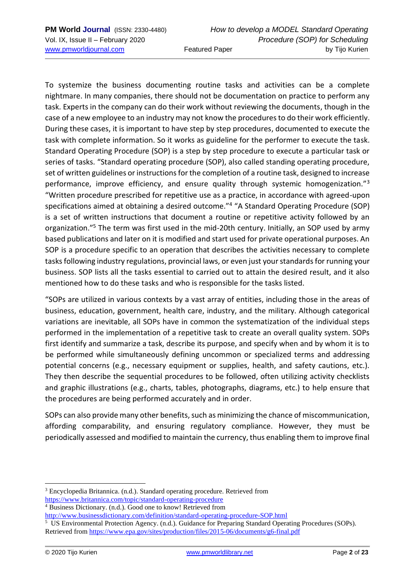To systemize the business documenting routine tasks and activities can be a complete nightmare. In many companies, there should not be documentation on practice to perform any task. Experts in the company can do their work without reviewing the documents, though in the case of a new employee to an industry may not know the procedures to do their work efficiently. During these cases, it is important to have step by step procedures, documented to execute the task with complete information. So it works as guideline for the performer to execute the task. Standard Operating Procedure (SOP) is a step by step procedure to execute a particular task or series of tasks. "Standard operating procedure (SOP), also called standing operating procedure, set of written guidelines or instructions for the completion of a routine task, designed to increase performance, improve efficiency, and ensure quality through systemic homogenization."<sup>3</sup> "Written procedure prescribed for repetitive use as a practice, in accordance with agreed-upon specifications aimed at obtaining a desired outcome."<sup>4</sup> "A Standard Operating Procedure (SOP) is a set of written instructions that document a routine or repetitive activity followed by an organization."<sup>5</sup> The term was first used in the mid-20th century. Initially, an SOP used by army based publications and later on it is modified and start used for private operational purposes. An SOP is a procedure specific to an operation that describes the activities necessary to complete tasks following industry regulations, provincial laws, or even just your standards for running your business. SOP lists all the tasks essential to carried out to attain the desired result, and it also mentioned how to do these tasks and who is responsible for the tasks listed.

"SOPs are utilized in various contexts by a vast array of entities, including those in the areas of business, education, government, health care, industry, and the military. Although categorical variations are inevitable, all SOPs have in common the systematization of the individual steps performed in the implementation of a repetitive task to create an overall quality system. SOPs first identify and summarize a task, describe its purpose, and specify when and by whom it is to be performed while simultaneously defining uncommon or specialized terms and addressing potential concerns (e.g., necessary equipment or supplies, health, and safety cautions, etc.). They then describe the sequential procedures to be followed, often utilizing activity checklists and graphic illustrations (e.g., charts, tables, photographs, diagrams, etc.) to help ensure that the procedures are being performed accurately and in order.

SOPs can also provide many other benefits, such as minimizing the chance of miscommunication, affording comparability, and ensuring regulatory compliance. However, they must be periodically assessed and modified to maintain the currency, thus enabling them to improve final

<sup>3</sup> Encyclopedia Britannica. (n.d.). Standard operating procedure. Retrieved from <https://www.britannica.com/topic/standard-operating-procedure>

<sup>4</sup> Business Dictionary. (n.d.). Good one to know! Retrieved from

<http://www.businessdictionary.com/definition/standard-operating-procedure-SOP.html>

<sup>&</sup>lt;sup>5</sup> US Environmental Protection Agency. (n.d.). Guidance for Preparing Standard Operating Procedures (SOPs). Retrieved from<https://www.epa.gov/sites/production/files/2015-06/documents/g6-final.pdf>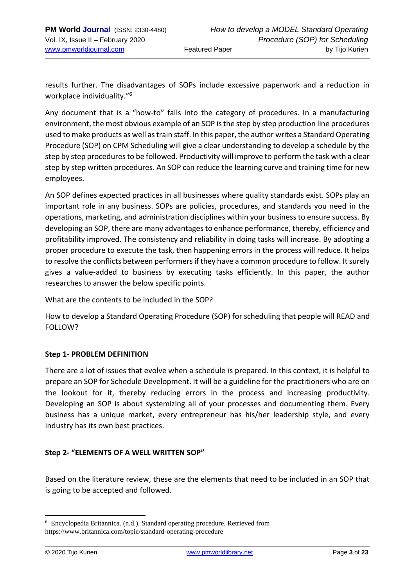results further. The disadvantages of SOPs include excessive paperwork and a reduction in workplace individuality."<sup>6</sup>

Any document that is a "how-to" falls into the category of procedures. In a manufacturing environment, the most obvious example of an SOP is the step by step production line procedures used to make products as well as train staff. In this paper, the author writes a Standard Operating Procedure (SOP) on CPM Scheduling will give a clear understanding to develop a schedule by the step by step procedures to be followed. Productivity will improve to perform the task with a clear step by step written procedures. An SOP can reduce the learning curve and training time for new employees.

An SOP defines expected practices in all businesses where quality standards exist. SOPs play an important role in any business. SOPs are policies, procedures, and standards you need in the operations, marketing, and administration disciplines within your business to ensure success. By developing an SOP, there are many advantages to enhance performance, thereby, efficiency and profitability improved. The consistency and reliability in doing tasks will increase. By adopting a proper procedure to execute the task, then happening errors in the process will reduce. It helps to resolve the conflicts between performers if they have a common procedure to follow. It surely gives a value-added to business by executing tasks efficiently. In this paper, the author researches to answer the below specific points.

What are the contents to be included in the SOP?

How to develop a Standard Operating Procedure (SOP) for scheduling that people will READ and FOLLOW?

#### **Step 1- PROBLEM DEFINITION**

There are a lot of issues that evolve when a schedule is prepared. In this context, it is helpful to prepare an SOP for Schedule Development. It will be a guideline for the practitioners who are on the lookout for it, thereby reducing errors in the process and increasing productivity. Developing an SOP is about systemizing all of your processes and documenting them. Every business has a unique market, every entrepreneur has his/her leadership style, and every industry has its own best practices.

#### **Step 2- "ELEMENTS OF A WELL WRITTEN SOP"**

Based on the literature review, these are the elements that need to be included in an SOP that is going to be accepted and followed.

<sup>6</sup> Encyclopedia Britannica. (n.d.). Standard operating procedure. Retrieved from https://www.britannica.com/topic/standard-operating-procedure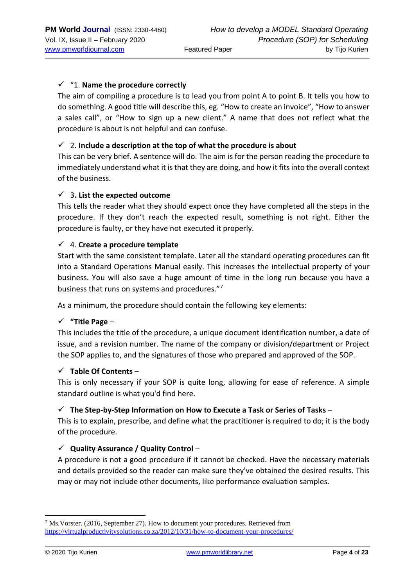## ✓ "1. **Name the procedure correctly**

The aim of compiling a procedure is to lead you from point A to point B. It tells you how to do something. A good title will describe this, eg. "How to create an invoice", "How to answer a sales call", or "How to sign up a new client." A name that does not reflect what the procedure is about is not helpful and can confuse.

## ✓ 2. **Include a description at the top of what the procedure is about**

This can be very brief. A sentence will do. The aim is for the person reading the procedure to immediately understand what it is that they are doing, and how it fits into the overall context of the business.

## ✓ 3**. List the expected outcome**

This tells the reader what they should expect once they have completed all the steps in the procedure. If they don't reach the expected result, something is not right. Either the procedure is faulty, or they have not executed it properly.

#### ✓ 4. **Create a procedure template**

Start with the same consistent template. Later all the standard operating procedures can fit into a Standard Operations Manual easily. This increases the intellectual property of your business. You will also save a huge amount of time in the long run because you have a business that runs on systems and procedures."<sup>7</sup>

As a minimum, the procedure should contain the following key elements:

#### ✓ **"Title Page** –

This includes the title of the procedure, a unique document identification number, a date of issue, and a revision number. The name of the company or division/department or Project the SOP applies to, and the signatures of those who prepared and approved of the SOP.

#### ✓ **Table Of Contents** –

This is only necessary if your SOP is quite long, allowing for ease of reference. A simple standard outline is what you'd find here.

#### ✓ **The Step-by-Step Information on How to Execute a Task or Series of Tasks** –

This is to explain, prescribe, and define what the practitioner is required to do; it is the body of the procedure.

#### ✓ **Quality Assurance / Quality Control** –

A procedure is not a good procedure if it cannot be checked. Have the necessary materials and details provided so the reader can make sure they've obtained the desired results. This may or may not include other documents, like performance evaluation samples.

<sup>7</sup> Ms.Vorster. (2016, September 27). How to document your procedures. Retrieved from <https://virtualproductivitysolutions.co.za/2012/10/31/how-to-document-your-procedures/>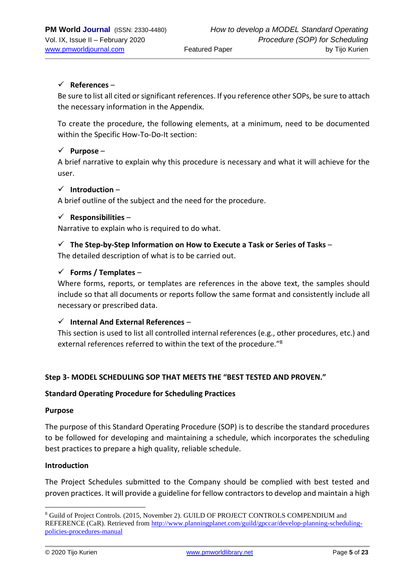## ✓ **References** –

Be sure to list all cited or significant references. If you reference other SOPs, be sure to attach the necessary information in the Appendix.

To create the procedure, the following elements, at a minimum, need to be documented within the Specific How-To-Do-It section:

## ✓ **Purpose** –

A brief narrative to explain why this procedure is necessary and what it will achieve for the user.

#### ✓ **Introduction** –

A brief outline of the subject and the need for the procedure.

#### ✓ **Responsibilities** –

Narrative to explain who is required to do what.

#### ✓ **The Step-by-Step Information on How to Execute a Task or Series of Tasks** –

The detailed description of what is to be carried out.

## ✓ **Forms / Templates** –

Where forms, reports, or templates are references in the above text, the samples should include so that all documents or reports follow the same format and consistently include all necessary or prescribed data.

#### ✓ **Internal And External References** –

This section is used to list all controlled internal references (e.g., other procedures, etc.) and external references referred to within the text of the procedure."<sup>8</sup>

#### **Step 3- MODEL SCHEDULING SOP THAT MEETS THE "BEST TESTED AND PROVEN."**

#### **Standard Operating Procedure for Scheduling Practices**

#### **Purpose**

The purpose of this Standard Operating Procedure (SOP) is to describe the standard procedures to be followed for developing and maintaining a schedule, which incorporates the scheduling best practices to prepare a high quality, reliable schedule.

#### **Introduction**

The Project Schedules submitted to the Company should be complied with best tested and proven practices. It will provide a guideline for fellow contractors to develop and maintain a high

<sup>8</sup> Guild of Project Controls. (2015, November 2). GUILD OF PROJECT CONTROLS COMPENDIUM and REFERENCE (CaR). Retrieved from [http://www.planningplanet.com/guild/gpccar/develop-planning-scheduling](http://www.planningplanet.com/guild/gpccar/develop-planning-scheduling-policies-procedures-manual)[policies-procedures-manual](http://www.planningplanet.com/guild/gpccar/develop-planning-scheduling-policies-procedures-manual)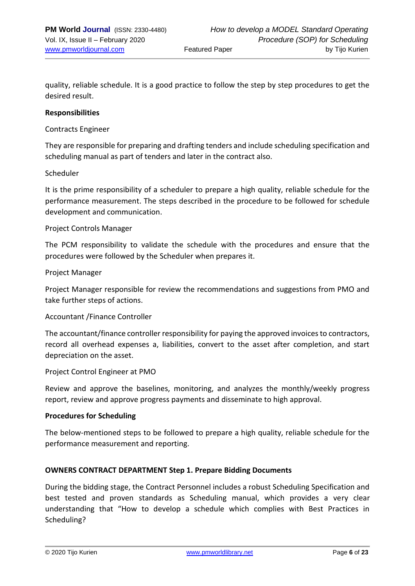quality, reliable schedule. It is a good practice to follow the step by step procedures to get the desired result.

#### **Responsibilities**

#### Contracts Engineer

They are responsible for preparing and drafting tenders and include scheduling specification and scheduling manual as part of tenders and later in the contract also.

#### Scheduler

It is the prime responsibility of a scheduler to prepare a high quality, reliable schedule for the performance measurement. The steps described in the procedure to be followed for schedule development and communication.

#### Project Controls Manager

The PCM responsibility to validate the schedule with the procedures and ensure that the procedures were followed by the Scheduler when prepares it.

#### Project Manager

Project Manager responsible for review the recommendations and suggestions from PMO and take further steps of actions.

#### Accountant /Finance Controller

The accountant/finance controller responsibility for paying the approved invoices to contractors, record all overhead expenses a, liabilities, convert to the asset after completion, and start depreciation on the asset.

#### Project Control Engineer at PMO

Review and approve the baselines, monitoring, and analyzes the monthly/weekly progress report, review and approve progress payments and disseminate to high approval.

#### **Procedures for Scheduling**

The below-mentioned steps to be followed to prepare a high quality, reliable schedule for the performance measurement and reporting.

#### **OWNERS CONTRACT DEPARTMENT Step 1. Prepare Bidding Documents**

During the bidding stage, the Contract Personnel includes a robust Scheduling Specification and best tested and proven standards as Scheduling manual, which provides a very clear understanding that "How to develop a schedule which complies with Best Practices in Scheduling?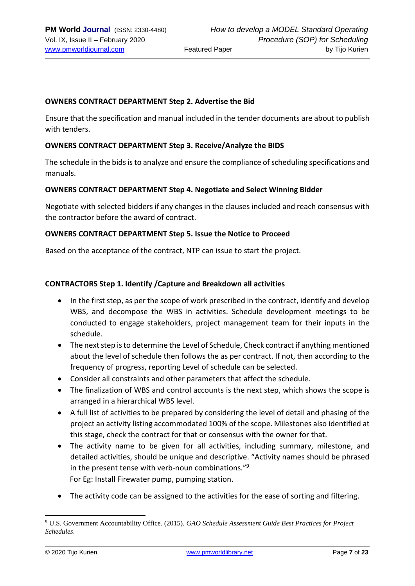#### **OWNERS CONTRACT DEPARTMENT Step 2. Advertise the Bid**

Ensure that the specification and manual included in the tender documents are about to publish with tenders.

#### **OWNERS CONTRACT DEPARTMENT Step 3. Receive/Analyze the BIDS**

The schedule in the bids is to analyze and ensure the compliance of scheduling specifications and manuals.

#### **OWNERS CONTRACT DEPARTMENT Step 4. Negotiate and Select Winning Bidder**

Negotiate with selected bidders if any changes in the clauses included and reach consensus with the contractor before the award of contract.

#### **OWNERS CONTRACT DEPARTMENT Step 5. Issue the Notice to Proceed**

Based on the acceptance of the contract, NTP can issue to start the project.

#### **CONTRACTORS Step 1. Identify /Capture and Breakdown all activities**

- In the first step, as per the scope of work prescribed in the contract, identify and develop WBS, and decompose the WBS in activities. Schedule development meetings to be conducted to engage stakeholders, project management team for their inputs in the schedule.
- The next step is to determine the Level of Schedule, Check contract if anything mentioned about the level of schedule then follows the as per contract. If not, then according to the frequency of progress, reporting Level of schedule can be selected.
- Consider all constraints and other parameters that affect the schedule.
- The finalization of WBS and control accounts is the next step, which shows the scope is arranged in a hierarchical WBS level.
- A full list of activities to be prepared by considering the level of detail and phasing of the project an activity listing accommodated 100% of the scope. Milestones also identified at this stage, check the contract for that or consensus with the owner for that.
- The activity name to be given for all activities, including summary, milestone, and detailed activities, should be unique and descriptive. "Activity names should be phrased in the present tense with verb-noun combinations."<sup>9</sup> For Eg: Install Firewater pump, pumping station.
- The activity code can be assigned to the activities for the ease of sorting and filtering.

<sup>9</sup> U.S. Government Accountability Office. (2015). *GAO Schedule Assessment Guide Best Practices for Project Schedules*.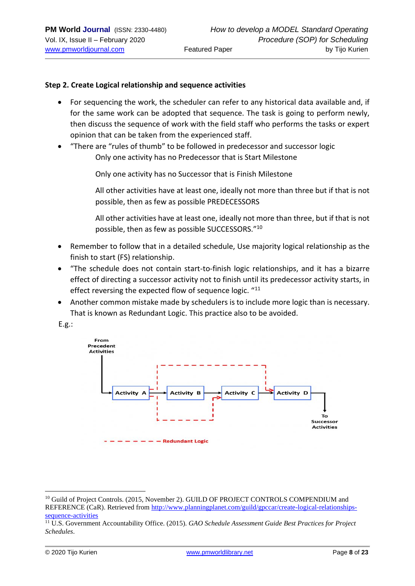#### **Step 2. Create Logical relationship and sequence activities**

- For sequencing the work, the scheduler can refer to any historical data available and, if for the same work can be adopted that sequence. The task is going to perform newly, then discuss the sequence of work with the field staff who performs the tasks or expert opinion that can be taken from the experienced staff.
- "There are "rules of thumb" to be followed in predecessor and successor logic Only one activity has no Predecessor that is Start Milestone

Only one activity has no Successor that is Finish Milestone

All other activities have at least one, ideally not more than three but if that is not possible, then as few as possible PREDECESSORS

All other activities have at least one, ideally not more than three, but if that is not possible, then as few as possible SUCCESSORS."<sup>10</sup>

- Remember to follow that in a detailed schedule, Use majority logical relationship as the finish to start (FS) relationship.
- "The schedule does not contain start-to-finish logic relationships, and it has a bizarre effect of directing a successor activity not to finish until its predecessor activity starts, in effect reversing the expected flow of sequence logic. "<sup>11</sup>
- Another common mistake made by schedulers is to include more logic than is necessary. That is known as Redundant Logic. This practice also to be avoided.

E.g.:



<sup>&</sup>lt;sup>10</sup> Guild of Project Controls. (2015, November 2). GUILD OF PROJECT CONTROLS COMPENDIUM and REFERENCE (CaR). Retrieved from [http://www.planningplanet.com/guild/gpccar/create-logical-relationships](http://www.planningplanet.com/guild/gpccar/create-logical-relationships-sequence-activities)[sequence-activities](http://www.planningplanet.com/guild/gpccar/create-logical-relationships-sequence-activities)

<sup>11</sup> U.S. Government Accountability Office. (2015). *GAO Schedule Assessment Guide Best Practices for Project Schedules*.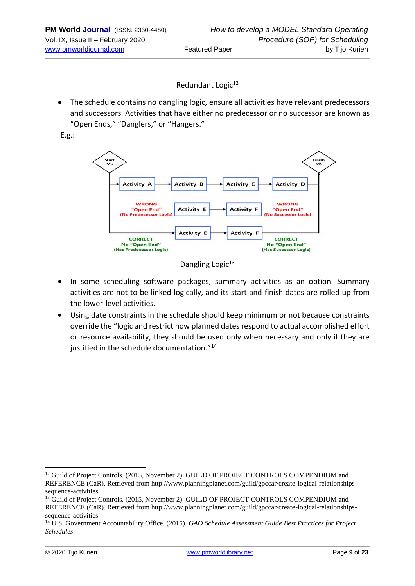Redundant Logic<sup>12</sup>

• The schedule contains no dangling logic, ensure all activities have relevant predecessors and successors. Activities that have either no predecessor or no successor are known as "Open Ends," "Danglers," or "Hangers."

E.g.:





- In some scheduling software packages, summary activities as an option. Summary activities are not to be linked logically, and its start and finish dates are rolled up from the lower-level activities.
- Using date constraints in the schedule should keep minimum or not because constraints override the "logic and restrict how planned dates respond to actual accomplished effort or resource availability, they should be used only when necessary and only if they are justified in the schedule documentation."<sup>14</sup>

<sup>&</sup>lt;sup>12</sup> Guild of Project Controls. (2015, November 2). GUILD OF PROJECT CONTROLS COMPENDIUM and REFERENCE (CaR). Retrieved from http://www.planningplanet.com/guild/gpccar/create-logical-relationshipssequence-activities

<sup>&</sup>lt;sup>13</sup> Guild of Project Controls. (2015, November 2). GUILD OF PROJECT CONTROLS COMPENDIUM and REFERENCE (CaR). Retrieved from http://www.planningplanet.com/guild/gpccar/create-logical-relationshipssequence-activities

<sup>14</sup> U.S. Government Accountability Office. (2015). *GAO Schedule Assessment Guide Best Practices for Project Schedules*.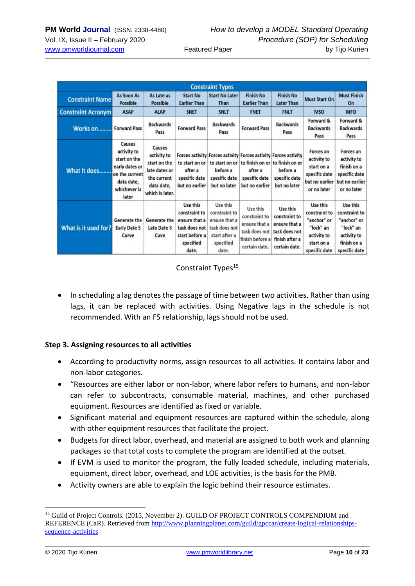| <b>Constraint Types</b>   |                                                                                                                  |                                                                                                        |                                                                                                     |                                                                                                                                |                                                                                                 |                                                                                                |                                                                                                     |                                                                                                      |  |  |
|---------------------------|------------------------------------------------------------------------------------------------------------------|--------------------------------------------------------------------------------------------------------|-----------------------------------------------------------------------------------------------------|--------------------------------------------------------------------------------------------------------------------------------|-------------------------------------------------------------------------------------------------|------------------------------------------------------------------------------------------------|-----------------------------------------------------------------------------------------------------|------------------------------------------------------------------------------------------------------|--|--|
| <b>Constraint Name</b>    | As Soon As<br><b>Possible</b>                                                                                    | As Late as<br>Possible                                                                                 | <b>Start No</b><br><b>Earlier Than</b>                                                              | <b>Start No Later</b><br>Than                                                                                                  | <b>Finish No</b><br><b>Earlier Than</b>                                                         | <b>Finish No</b><br><b>Later Than</b>                                                          | <b>Must Start On</b>                                                                                | <b>Must Finish</b><br>On                                                                             |  |  |
| <b>Constraint Acronym</b> | <b>ASAP</b>                                                                                                      | <b>ALAP</b>                                                                                            | <b>SNET</b>                                                                                         | <b>SNLT</b>                                                                                                                    | <b>FNET</b>                                                                                     | <b>FNLT</b>                                                                                    | <b>MSO</b>                                                                                          | <b>MFO</b>                                                                                           |  |  |
| Works on                  | <b>Forward Pass</b>                                                                                              | <b>Backwards</b><br>Pass                                                                               | <b>Forward Pass</b>                                                                                 | <b>Backwards</b><br>Pass                                                                                                       | <b>Forward Pass</b>                                                                             | <b>Backwards</b><br>Pass                                                                       | Forward &<br><b>Backwards</b><br>Pass                                                               | Forward &<br><b>Backwards</b><br>Pass                                                                |  |  |
| What it does              | Causes<br>activity to<br>start on the<br>early dates or<br>on the current<br>data date,<br>whichever is<br>later | Causes<br>activity to<br>start on the<br>late dates or<br>the current<br>data date,<br>which is later. | to start on or<br>after a<br>specific date<br>but no earlier                                        | Forces activity Forces activity Forces activity Forces activity<br>to start on or<br>before a<br>specific date<br>but no later | after a<br>specific date<br>but no earlier                                                      | to finish on or to finish on or<br>before a<br>specific date<br>but no later                   | Forces an<br>activity to<br>start on a<br>specific date<br>but no earlier<br>or no later            | Forces an<br>activity to<br>finish on a<br>specific date<br>but no earlier<br>or no later            |  |  |
| What is it used for?      | Generate the<br><b>Early Date S</b><br>Curve                                                                     | Generate the<br>Late Date S<br>Cuve                                                                    | Use this<br>constraint to<br>ensure that a<br>task does not<br>start before a<br>specified<br>date. | Use this<br>constraint to<br>ensure that a<br>task does not<br>start after a<br>specified<br>date.                             | Use this<br>constraint to<br>ensure that a<br>task does not<br>finish before a<br>certain date. | Use this<br>constraint to<br>ensure that a<br>task does not<br>finish after a<br>certain date. | Use this<br>constraint to<br>"anchor" or<br>"lock" an<br>activity to<br>start on a<br>specific date | Use this<br>constraint to<br>"anchor" or<br>"lock" an<br>activity to<br>finish on a<br>specific date |  |  |

## Constraint Types<sup>15</sup>

• In scheduling a lag denotes the passage of time between two activities. Rather than using lags, it can be replaced with activities. Using Negative lags in the schedule is not recommended. With an FS relationship, lags should not be used.

#### **Step 3. Assigning resources to all activities**

- According to productivity norms, assign resources to all activities. It contains labor and non-labor categories.
- "Resources are either labor or non-labor, where labor refers to humans, and non-labor can refer to subcontracts, consumable material, machines, and other purchased equipment. Resources are identified as fixed or variable.
- Significant material and equipment resources are captured within the schedule, along with other equipment resources that facilitate the project.
- Budgets for direct labor, overhead, and material are assigned to both work and planning packages so that total costs to complete the program are identified at the outset.
- If EVM is used to monitor the program, the fully loaded schedule, including materials, equipment, direct labor, overhead, and LOE activities, is the basis for the PMB.
- Activity owners are able to explain the logic behind their resource estimates.

<sup>&</sup>lt;sup>15</sup> Guild of Project Controls. (2015, November 2). GUILD OF PROJECT CONTROLS COMPENDIUM and REFERENCE (CaR). Retrieved from [http://www.planningplanet.com/guild/gpccar/create-logical-relationships](http://www.planningplanet.com/guild/gpccar/create-logical-relationships-sequence-activities)[sequence-activities](http://www.planningplanet.com/guild/gpccar/create-logical-relationships-sequence-activities)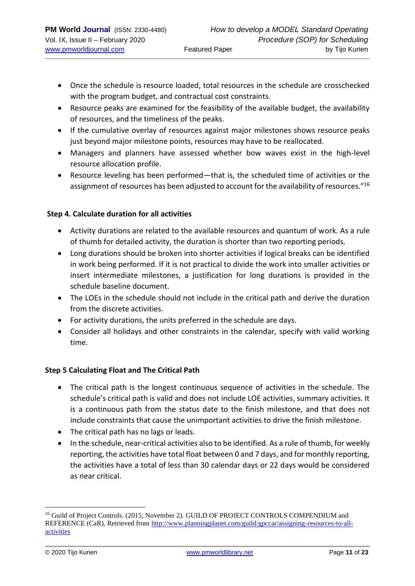- Once the schedule is resource loaded, total resources in the schedule are crosschecked with the program budget, and contractual cost constraints.
- Resource peaks are examined for the feasibility of the available budget, the availability of resources, and the timeliness of the peaks.
- If the cumulative overlay of resources against major milestones shows resource peaks just beyond major milestone points, resources may have to be reallocated.
- Managers and planners have assessed whether bow waves exist in the high-level resource allocation profile.
- Resource leveling has been performed—that is, the scheduled time of activities or the assignment of resources has been adjusted to account for the availability of resources."<sup>16</sup>

## **Step 4. Calculate duration for all activities**

- Activity durations are related to the available resources and quantum of work. As a rule of thumb for detailed activity, the duration is shorter than two reporting periods.
- Long durations should be broken into shorter activities if logical breaks can be identified in work being performed. If it is not practical to divide the work into smaller activities or insert intermediate milestones, a justification for long durations is provided in the schedule baseline document.
- The LOEs in the schedule should not include in the critical path and derive the duration from the discrete activities.
- For activity durations, the units preferred in the schedule are days.
- Consider all holidays and other constraints in the calendar, specify with valid working time.

## **Step 5 Calculating Float and The Critical Path**

- The critical path is the longest continuous sequence of activities in the schedule. The schedule's critical path is valid and does not include LOE activities, summary activities. It is a continuous path from the status date to the finish milestone, and that does not include constraints that cause the unimportant activities to drive the finish milestone.
- The critical path has no lags or leads.
- In the schedule, near-critical activities also to be identified. As a rule of thumb, for weekly reporting, the activities have total float between 0 and 7 days, and for monthly reporting, the activities have a total of less than 30 calendar days or 22 days would be considered as near critical.

<sup>&</sup>lt;sup>16</sup> Guild of Project Controls. (2015, November 2). GUILD OF PROJECT CONTROLS COMPENDIUM and REFERENCE (CaR). Retrieved from [http://www.planningplanet.com/guild/gpccar/assigning-resources-to-all](http://www.planningplanet.com/guild/gpccar/assigning-resources-to-all-activities)[activities](http://www.planningplanet.com/guild/gpccar/assigning-resources-to-all-activities)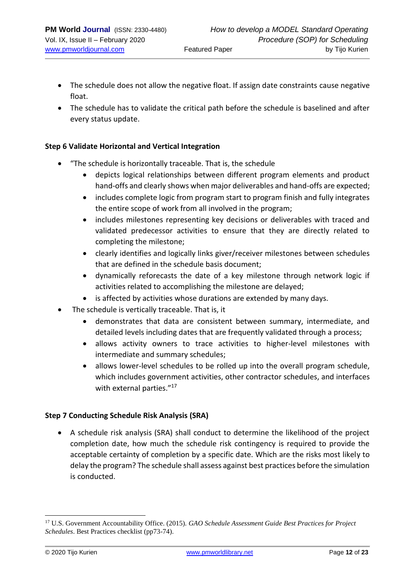- The schedule does not allow the negative float. If assign date constraints cause negative float.
- The schedule has to validate the critical path before the schedule is baselined and after every status update.

## **Step 6 Validate Horizontal and Vertical Integration**

- "The schedule is horizontally traceable. That is, the schedule
	- depicts logical relationships between different program elements and product hand-offs and clearly shows when major deliverables and hand-offs are expected;
	- includes complete logic from program start to program finish and fully integrates the entire scope of work from all involved in the program;
	- includes milestones representing key decisions or deliverables with traced and validated predecessor activities to ensure that they are directly related to completing the milestone;
	- clearly identifies and logically links giver/receiver milestones between schedules that are defined in the schedule basis document;
	- dynamically reforecasts the date of a key milestone through network logic if activities related to accomplishing the milestone are delayed;
	- is affected by activities whose durations are extended by many days.
- The schedule is vertically traceable. That is, it
	- demonstrates that data are consistent between summary, intermediate, and detailed levels including dates that are frequently validated through a process;
	- allows activity owners to trace activities to higher-level milestones with intermediate and summary schedules;
	- allows lower-level schedules to be rolled up into the overall program schedule, which includes government activities, other contractor schedules, and interfaces with external parties."<sup>17</sup>

## **Step 7 Conducting Schedule Risk Analysis (SRA)**

• A schedule risk analysis (SRA) shall conduct to determine the likelihood of the project completion date, how much the schedule risk contingency is required to provide the acceptable certainty of completion by a specific date. Which are the risks most likely to delay the program? The schedule shall assess against best practices before the simulation is conducted.

<sup>17</sup> U.S. Government Accountability Office. (2015). *GAO Schedule Assessment Guide Best Practices for Project Schedules*. Best Practices checklist (pp73-74).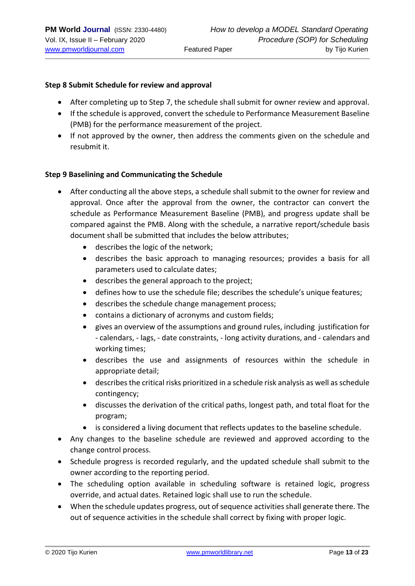#### **Step 8 Submit Schedule for review and approval**

- After completing up to Step 7, the schedule shall submit for owner review and approval.
- If the schedule is approved, convert the schedule to Performance Measurement Baseline (PMB) for the performance measurement of the project.
- If not approved by the owner, then address the comments given on the schedule and resubmit it.

#### **Step 9 Baselining and Communicating the Schedule**

- After conducting all the above steps, a schedule shall submit to the owner for review and approval. Once after the approval from the owner, the contractor can convert the schedule as Performance Measurement Baseline (PMB), and progress update shall be compared against the PMB. Along with the schedule, a narrative report/schedule basis document shall be submitted that includes the below attributes;
	- describes the logic of the network;
	- describes the basic approach to managing resources; provides a basis for all parameters used to calculate dates;
	- describes the general approach to the project;
	- defines how to use the schedule file; describes the schedule's unique features;
	- describes the schedule change management process;
	- contains a dictionary of acronyms and custom fields;
	- gives an overview of the assumptions and ground rules, including justification for - calendars, - lags, - date constraints, - long activity durations, and - calendars and working times;
	- describes the use and assignments of resources within the schedule in appropriate detail;
	- describes the critical risks prioritized in a schedule risk analysis as well as schedule contingency;
	- discusses the derivation of the critical paths, longest path, and total float for the program;
	- is considered a living document that reflects updates to the baseline schedule.
- Any changes to the baseline schedule are reviewed and approved according to the change control process.
- Schedule progress is recorded regularly, and the updated schedule shall submit to the owner according to the reporting period.
- The scheduling option available in scheduling software is retained logic, progress override, and actual dates. Retained logic shall use to run the schedule.
- When the schedule updates progress, out of sequence activities shall generate there. The out of sequence activities in the schedule shall correct by fixing with proper logic.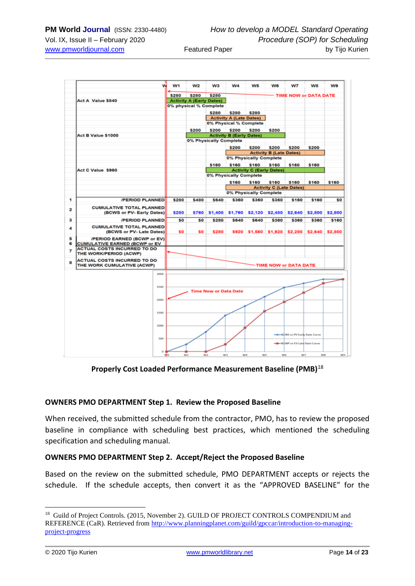

**Properly Cost Loaded Performance Measurement Baseline (PMB)**<sup>18</sup>

#### **OWNERS PMO DEPARTMENT Step 1. Review the Proposed Baseline**

When received, the submitted schedule from the contractor, PMO, has to review the proposed baseline in compliance with scheduling best practices, which mentioned the scheduling specification and scheduling manual.

#### **OWNERS PMO DEPARTMENT Step 2. Accept/Reject the Proposed Baseline**

Based on the review on the submitted schedule, PMO DEPARTMENT accepts or rejects the schedule. If the schedule accepts, then convert it as the "APPROVED BASELINE" for the

<sup>&</sup>lt;sup>18</sup> Guild of Project Controls. (2015, November 2). GUILD OF PROJECT CONTROLS COMPENDIUM and REFERENCE (CaR). Retrieved from [http://www.planningplanet.com/guild/gpccar/introduction-to-managing](http://www.planningplanet.com/guild/gpccar/introduction-to-managing-project-progress)[project-progress](http://www.planningplanet.com/guild/gpccar/introduction-to-managing-project-progress)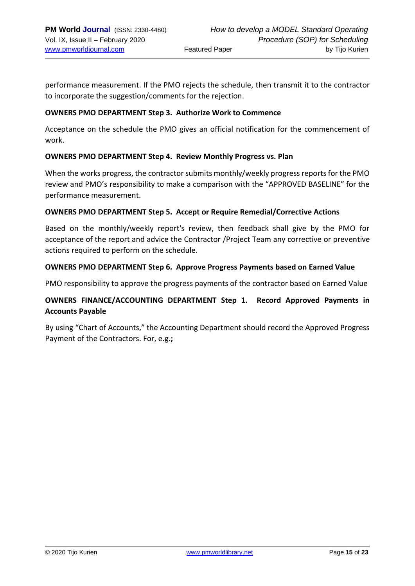performance measurement. If the PMO rejects the schedule, then transmit it to the contractor to incorporate the suggestion/comments for the rejection.

#### **OWNERS PMO DEPARTMENT Step 3. Authorize Work to Commence**

Acceptance on the schedule the PMO gives an official notification for the commencement of work.

#### **OWNERS PMO DEPARTMENT Step 4. Review Monthly Progress vs. Plan**

When the works progress, the contractor submits monthly/weekly progress reports for the PMO review and PMO's responsibility to make a comparison with the "APPROVED BASELINE" for the performance measurement.

#### **OWNERS PMO DEPARTMENT Step 5. Accept or Require Remedial/Corrective Actions**

Based on the monthly/weekly report's review, then feedback shall give by the PMO for acceptance of the report and advice the Contractor /Project Team any corrective or preventive actions required to perform on the schedule.

#### **OWNERS PMO DEPARTMENT Step 6. Approve Progress Payments based on Earned Value**

PMO responsibility to approve the progress payments of the contractor based on Earned Value

## **OWNERS FINANCE/ACCOUNTING DEPARTMENT Step 1. Record Approved Payments in Accounts Payable**

By using "Chart of Accounts," the Accounting Department should record the Approved Progress Payment of the Contractors. For, e.g.**;**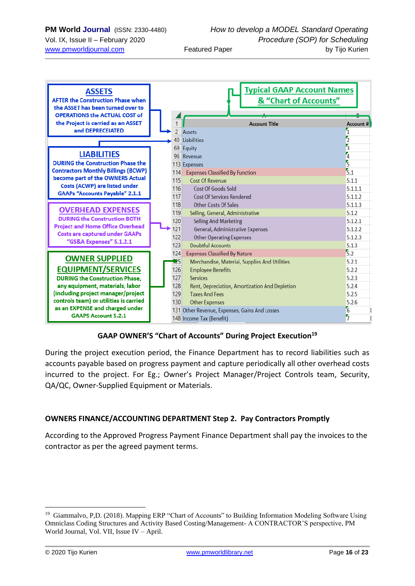| <b>ASSETS</b><br><b>AFTER the Construction Phase when</b><br>the ASSET has been turned over to<br><b>OPERATIONS the ACTUAL COST of</b> |                | <b>Typical GAAP Account Names</b><br>& "Chart of Accounts" |                  |
|----------------------------------------------------------------------------------------------------------------------------------------|----------------|------------------------------------------------------------|------------------|
| the Project is carried as an ASSET                                                                                                     |                | <b>Account Title</b>                                       | <b>Account #</b> |
| and DEPRECEIATED                                                                                                                       | $\overline{2}$ | <b>Assets</b>                                              |                  |
|                                                                                                                                        |                | 40 Liabilities                                             |                  |
|                                                                                                                                        |                | 69 Equity                                                  | З                |
| <b>LIABILITIES</b>                                                                                                                     |                | 96 Revenue                                                 |                  |
| <b>DURING the Construction Phase the</b>                                                                                               |                | 113 Expenses                                               | 3                |
| <b>Contractors Monthly Billings (BCWP)</b>                                                                                             | 114            | <b>Expenses Classified By Function</b>                     | $\overline{5.1}$ |
| become part of the OWNERS Actual                                                                                                       | 115            | <b>Cost Of Revenue</b>                                     | 5.1.1            |
| <b>Costs (ACWP) are listed under</b>                                                                                                   | 116            | Cost Of Goods Sold                                         | 5.1.1.1          |
| <b>GAAPs "Accounts Payable" 2.1.1</b>                                                                                                  | 117            | <b>Cost Of Services Rendered</b>                           | 5.1.1.2          |
|                                                                                                                                        | 118            | <b>Other Costs Of Sales</b>                                | 5.1.1.3          |
| <b>OVERHEAD EXPENSES</b>                                                                                                               | 119            | Selling, General, Administrative                           | 5.1.2            |
| <b>DURING the Construction BOTH</b>                                                                                                    | 120            | <b>Selling And Marketing</b>                               | 5.1.2.1          |
| <b>Project and Home Office Overhead</b>                                                                                                | 121            | General, Administrative Expenses                           | 5.1.2.2          |
| <b>Costs are captured under GAAPs</b><br>"GS&A Expenses" 5.1.2.1                                                                       | 122            | <b>Other Operating Expenses</b>                            | 5.1.2.3          |
|                                                                                                                                        | 123            | <b>Doubtful Accounts</b>                                   | 5.1.3            |
|                                                                                                                                        | 124            | <b>Expenses Classified By Nature</b>                       | 5.2              |
| <b>OWNER SUPPLIED</b>                                                                                                                  | 125            | Merchandise, Material, Supplies And Utilities              | 5.2.1            |
| <b>EQUIPMENT/SERVICES</b>                                                                                                              | 126            | <b>Employee Benefits</b>                                   | 5.2.2            |
| <b>DURING the Construction Phase,</b>                                                                                                  | 127            | <b>Services</b>                                            | 5.2.3            |
| any equipment, materials, labor                                                                                                        | 128            | Rent, Depreciation, Amortization And Depletion             | 5.2.4            |
| (including project manager/project                                                                                                     | 129            | <b>Taxes And Fees</b>                                      | 5.2.5            |
| controls team) or utilities is carried                                                                                                 | 130            | <b>Other Expenses</b>                                      | 5.2.6            |
| as an EXPENSE and charged under<br><b>GAAPS Account 5.2.1</b>                                                                          |                | 131 Other Revenue, Expenses, Gains And Losses              | $\epsilon$       |
|                                                                                                                                        |                | 148 Income Tax (Benefit)                                   | 5                |

## **GAAP OWNER'S "Chart of Accounts" During Project Execution<sup>19</sup>**

During the project execution period, the Finance Department has to record liabilities such as accounts payable based on progress payment and capture periodically all other overhead costs incurred to the project. For Eg.; Owner's Project Manager/Project Controls team, Security, QA/QC, Owner-Supplied Equipment or Materials.

#### **OWNERS FINANCE/ACCOUNTING DEPARTMENT Step 2. Pay Contractors Promptly**

According to the Approved Progress Payment Finance Department shall pay the invoices to the contractor as per the agreed payment terms.

<sup>&</sup>lt;sup>19</sup> Giammalvo, P,D. (2018). Mapping ERP "Chart of Accounts" to Building Information Modeling Software Using Omniclass Coding Structures and Activity Based Costing/Management- A CONTRACTOR'S perspective, PM World Journal, Vol. VII, Issue IV – April.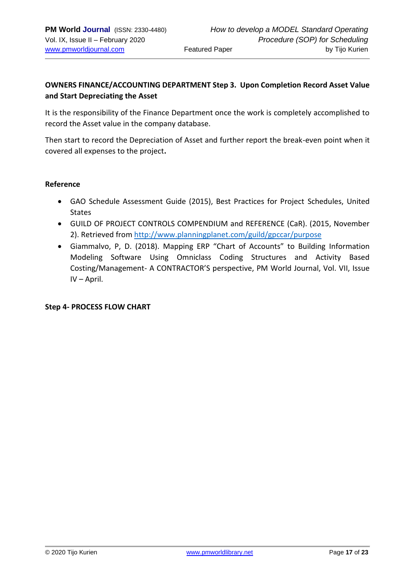## **OWNERS FINANCE/ACCOUNTING DEPARTMENT Step 3. Upon Completion Record Asset Value and Start Depreciating the Asset**

It is the responsibility of the Finance Department once the work is completely accomplished to record the Asset value in the company database.

Then start to record the Depreciation of Asset and further report the break-even point when it covered all expenses to the project**.** 

#### **Reference**

- GAO Schedule Assessment Guide (2015), Best Practices for Project Schedules, United States
- GUILD OF PROJECT CONTROLS COMPENDIUM and REFERENCE (CaR). (2015, November 2). Retrieved from<http://www.planningplanet.com/guild/gpccar/purpose>
- Giammalvo, P, D. (2018). Mapping ERP "Chart of Accounts" to Building Information Modeling Software Using Omniclass Coding Structures and Activity Based Costing/Management- A CONTRACTOR'S perspective, PM World Journal, Vol. VII, Issue IV – April.

#### **Step 4- PROCESS FLOW CHART**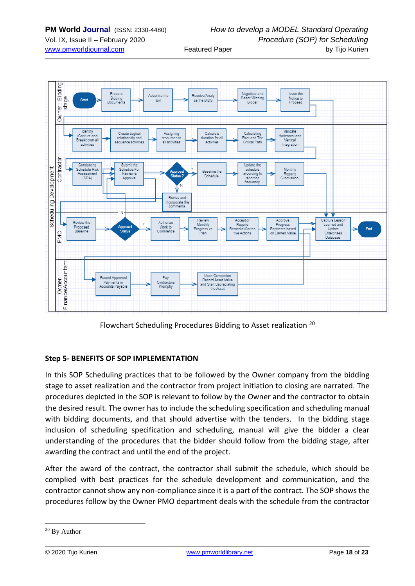

Flowchart Scheduling Procedures Bidding to Asset realization <sup>20</sup>

#### **Step 5- BENEFITS OF SOP IMPLEMENTATION**

In this SOP Scheduling practices that to be followed by the Owner company from the bidding stage to asset realization and the contractor from project initiation to closing are narrated. The procedures depicted in the SOP is relevant to follow by the Owner and the contractor to obtain the desired result. The owner has to include the scheduling specification and scheduling manual with bidding documents, and that should advertise with the tenders. In the bidding stage inclusion of scheduling specification and scheduling, manual will give the bidder a clear understanding of the procedures that the bidder should follow from the bidding stage, after awarding the contract and until the end of the project.

After the award of the contract, the contractor shall submit the schedule, which should be complied with best practices for the schedule development and communication, and the contractor cannot show any non-compliance since it is a part of the contract. The SOP shows the procedures follow by the Owner PMO department deals with the schedule from the contractor

<sup>&</sup>lt;sup>20</sup> By Author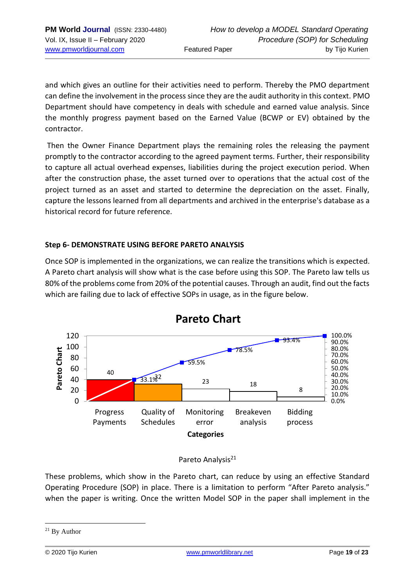and which gives an outline for their activities need to perform. Thereby the PMO department can define the involvement in the process since they are the audit authority in this context. PMO Department should have competency in deals with schedule and earned value analysis. Since the monthly progress payment based on the Earned Value (BCWP or EV) obtained by the contractor.

Then the Owner Finance Department plays the remaining roles the releasing the payment promptly to the contractor according to the agreed payment terms. Further, their responsibility to capture all actual overhead expenses, liabilities during the project execution period. When after the construction phase, the asset turned over to operations that the actual cost of the project turned as an asset and started to determine the depreciation on the asset. Finally, capture the lessons learned from all departments and archived in the enterprise's database as a historical record for future reference.

## **Step 6- DEMONSTRATE USING BEFORE PARETO ANALYSIS**

Once SOP is implemented in the organizations, we can realize the transitions which is expected. A Pareto chart analysis will show what is the case before using this SOP. The Pareto law tells us 80% of the problems come from 20% of the potential causes. Through an audit, find out the facts which are failing due to lack of effective SOPs in usage, as in the figure below.

![](_page_18_Figure_6.jpeg)

#### Pareto Analysis<sup>21</sup>

These problems, which show in the Pareto chart, can reduce by using an effective Standard Operating Procedure (SOP) in place. There is a limitation to perform "After Pareto analysis." when the paper is writing. Once the written Model SOP in the paper shall implement in the

 $21$  By Author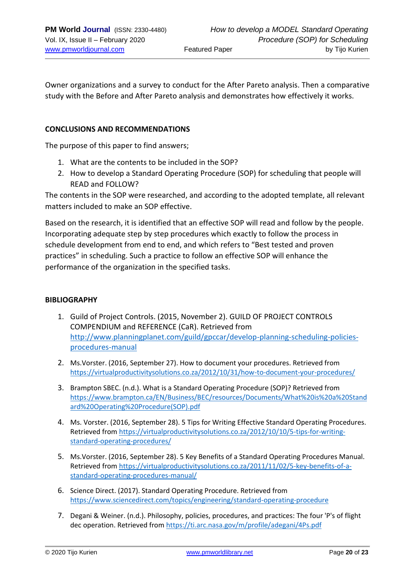Owner organizations and a survey to conduct for the After Pareto analysis. Then a comparative study with the Before and After Pareto analysis and demonstrates how effectively it works.

#### **CONCLUSIONS AND RECOMMENDATIONS**

The purpose of this paper to find answers;

- 1. What are the contents to be included in the SOP?
- 2. How to develop a Standard Operating Procedure (SOP) for scheduling that people will READ and FOLLOW?

The contents in the SOP were researched, and according to the adopted template, all relevant matters included to make an SOP effective.

Based on the research, it is identified that an effective SOP will read and follow by the people. Incorporating adequate step by step procedures which exactly to follow the process in schedule development from end to end, and which refers to "Best tested and proven practices" in scheduling. Such a practice to follow an effective SOP will enhance the performance of the organization in the specified tasks.

#### **BIBLIOGRAPHY**

- 1. Guild of Project Controls. (2015, November 2). GUILD OF PROJECT CONTROLS COMPENDIUM and REFERENCE (CaR). Retrieved from [http://www.planningplanet.com/guild/gpccar/develop-planning-scheduling-policies](http://www.planningplanet.com/guild/gpccar/develop-planning-scheduling-policies-procedures-manual)[procedures-manual](http://www.planningplanet.com/guild/gpccar/develop-planning-scheduling-policies-procedures-manual)
- 2. Ms.Vorster. (2016, September 27). How to document your procedures. Retrieved from <https://virtualproductivitysolutions.co.za/2012/10/31/how-to-document-your-procedures/>
- 3. Brampton SBEC. (n.d.). What is a Standard Operating Procedure (SOP)? Retrieved from [https://www.brampton.ca/EN/Business/BEC/resources/Documents/What%20is%20a%20Stand](https://www.brampton.ca/EN/Business/BEC/resources/Documents/What%20is%20a%20Standard%20Operating%20Procedure(SOP).pdf) [ard%20Operating%20Procedure\(SOP\).pdf](https://www.brampton.ca/EN/Business/BEC/resources/Documents/What%20is%20a%20Standard%20Operating%20Procedure(SOP).pdf)
- 4. Ms. Vorster. (2016, September 28). 5 Tips for Writing Effective Standard Operating Procedures. Retrieved fro[m https://virtualproductivitysolutions.co.za/2012/10/10/5-tips-for-writing](https://virtualproductivitysolutions.co.za/2012/10/10/5-tips-for-writing-standard-operating-procedures/)[standard-operating-procedures/](https://virtualproductivitysolutions.co.za/2012/10/10/5-tips-for-writing-standard-operating-procedures/)
- 5. Ms.Vorster. (2016, September 28). 5 Key Benefits of a Standard Operating Procedures Manual. Retrieved fro[m https://virtualproductivitysolutions.co.za/2011/11/02/5-key-benefits-of-a](https://virtualproductivitysolutions.co.za/2011/11/02/5-key-benefits-of-a-standard-operating-procedures-manual/)[standard-operating-procedures-manual/](https://virtualproductivitysolutions.co.za/2011/11/02/5-key-benefits-of-a-standard-operating-procedures-manual/)
- 6. Science Direct. (2017). Standard Operating Procedure. Retrieved from <https://www.sciencedirect.com/topics/engineering/standard-operating-procedure>
- 7. Degani & Weiner. (n.d.). Philosophy, policies, procedures, and practices: The four 'P's of flight dec operation. Retrieved from<https://ti.arc.nasa.gov/m/profile/adegani/4Ps.pdf>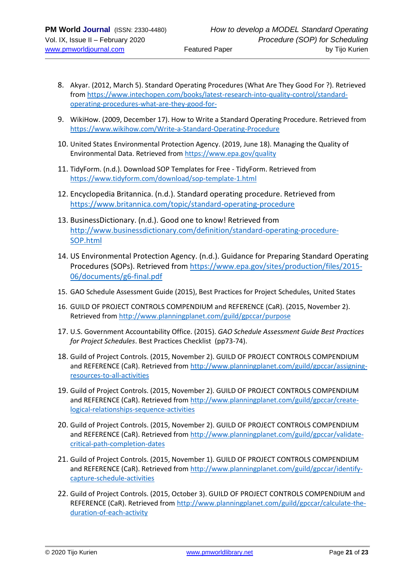- 8. Akyar. (2012, March 5). Standard Operating Procedures (What Are They Good For ?). Retrieved from [https://www.intechopen.com/books/latest-research-into-quality-control/standard](https://www.intechopen.com/books/latest-research-into-quality-control/standard-operating-procedures-what-are-they-good-for-)[operating-procedures-what-are-they-good-for-](https://www.intechopen.com/books/latest-research-into-quality-control/standard-operating-procedures-what-are-they-good-for-)
- 9. WikiHow. (2009, December 17). How to Write a Standard Operating Procedure. Retrieved from <https://www.wikihow.com/Write-a-Standard-Operating-Procedure>
- 10. United States Environmental Protection Agency. (2019, June 18). Managing the Quality of Environmental Data. Retrieved from<https://www.epa.gov/quality>
- 11. TidyForm. (n.d.). Download SOP Templates for Free TidyForm. Retrieved from <https://www.tidyform.com/download/sop-template-1.html>
- 12. Encyclopedia Britannica. (n.d.). Standard operating procedure. Retrieved from <https://www.britannica.com/topic/standard-operating-procedure>
- 13. BusinessDictionary. (n.d.). Good one to know! Retrieved from [http://www.businessdictionary.com/definition/standard-operating-procedure-](http://www.businessdictionary.com/definition/standard-operating-procedure-SOP.html)[SOP.html](http://www.businessdictionary.com/definition/standard-operating-procedure-SOP.html)
- 14. US Environmental Protection Agency. (n.d.). Guidance for Preparing Standard Operating Procedures (SOPs). Retrieved from [https://www.epa.gov/sites/production/files/2015-](https://www.epa.gov/sites/production/files/2015-06/documents/g6-final.pdf) [06/documents/g6-final.pdf](https://www.epa.gov/sites/production/files/2015-06/documents/g6-final.pdf)
- 15. GAO Schedule Assessment Guide (2015), Best Practices for Project Schedules, United States
- 16. GUILD OF PROJECT CONTROLS COMPENDIUM and REFERENCE (CaR). (2015, November 2). Retrieved fro[m http://www.planningplanet.com/guild/gpccar/purpose](http://www.planningplanet.com/guild/gpccar/purpose)
- 17. U.S. Government Accountability Office. (2015). *GAO Schedule Assessment Guide Best Practices for Project Schedules*. Best Practices Checklist (pp73-74).
- 18. Guild of Project Controls. (2015, November 2). GUILD OF PROJECT CONTROLS COMPENDIUM and REFERENCE (CaR). Retrieved from [http://www.planningplanet.com/guild/gpccar/assigning](http://www.planningplanet.com/guild/gpccar/assigning-resources-to-all-activities)[resources-to-all-activities](http://www.planningplanet.com/guild/gpccar/assigning-resources-to-all-activities)
- 19. Guild of Project Controls. (2015, November 2). GUILD OF PROJECT CONTROLS COMPENDIUM and REFERENCE (CaR). Retrieved from [http://www.planningplanet.com/guild/gpccar/create](http://www.planningplanet.com/guild/gpccar/create-logical-relationships-sequence-activities)[logical-relationships-sequence-activities](http://www.planningplanet.com/guild/gpccar/create-logical-relationships-sequence-activities)
- 20. Guild of Project Controls. (2015, November 2). GUILD OF PROJECT CONTROLS COMPENDIUM and REFERENCE (CaR). Retrieved from [http://www.planningplanet.com/guild/gpccar/validate](http://www.planningplanet.com/guild/gpccar/validate-critical-path-completion-dates)[critical-path-completion-dates](http://www.planningplanet.com/guild/gpccar/validate-critical-path-completion-dates)
- 21. Guild of Project Controls. (2015, November 1). GUILD OF PROJECT CONTROLS COMPENDIUM and REFERENCE (CaR). Retrieved from [http://www.planningplanet.com/guild/gpccar/identify](http://www.planningplanet.com/guild/gpccar/identify-capture-schedule-activities)[capture-schedule-activities](http://www.planningplanet.com/guild/gpccar/identify-capture-schedule-activities)
- 22. Guild of Project Controls. (2015, October 3). GUILD OF PROJECT CONTROLS COMPENDIUM and REFERENCE (CaR). Retrieved fro[m http://www.planningplanet.com/guild/gpccar/calculate-the](http://www.planningplanet.com/guild/gpccar/calculate-the-duration-of-each-activity)[duration-of-each-activity](http://www.planningplanet.com/guild/gpccar/calculate-the-duration-of-each-activity)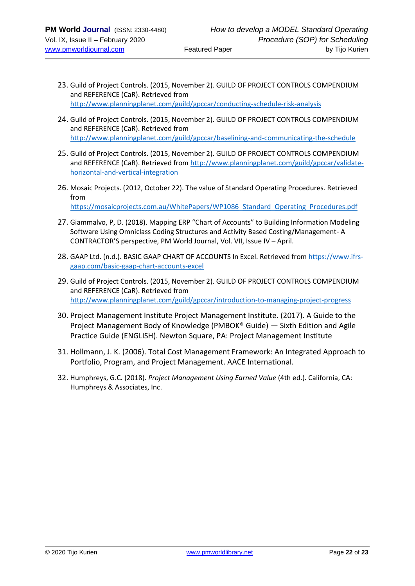- 23. Guild of Project Controls. (2015, November 2). GUILD OF PROJECT CONTROLS COMPENDIUM and REFERENCE (CaR). Retrieved from <http://www.planningplanet.com/guild/gpccar/conducting-schedule-risk-analysis>
- 24. Guild of Project Controls. (2015, November 2). GUILD OF PROJECT CONTROLS COMPENDIUM and REFERENCE (CaR). Retrieved from <http://www.planningplanet.com/guild/gpccar/baselining-and-communicating-the-schedule>
- 25. Guild of Project Controls. (2015, November 2). GUILD OF PROJECT CONTROLS COMPENDIUM and REFERENCE (CaR). Retrieved from [http://www.planningplanet.com/guild/gpccar/validate](http://www.planningplanet.com/guild/gpccar/validate-horizontal-and-vertical-integration)[horizontal-and-vertical-integration](http://www.planningplanet.com/guild/gpccar/validate-horizontal-and-vertical-integration)
- 26. Mosaic Projects. (2012, October 22). The value of Standard Operating Procedures. Retrieved from [https://mosaicprojects.com.au/WhitePapers/WP1086\\_Standard\\_Operating\\_Procedures.pdf](https://mosaicprojects.com.au/WhitePapers/WP1086_Standard_Operating_Procedures.pdf)
- 27. Giammalvo, P, D. (2018). Mapping ERP "Chart of Accounts" to Building Information Modeling Software Using Omniclass Coding Structures and Activity Based Costing/Management- A CONTRACTOR'S perspective, PM World Journal, Vol. VII, Issue IV – April.
- 28. GAAP Ltd. (n.d.). BASIC GAAP CHART OF ACCOUNTS In Excel. Retrieved fro[m https://www.ifrs](https://www.ifrs-gaap.com/basic-gaap-chart-accounts-excel)[gaap.com/basic-gaap-chart-accounts-excel](https://www.ifrs-gaap.com/basic-gaap-chart-accounts-excel)
- 29. Guild of Project Controls. (2015, November 2). GUILD OF PROJECT CONTROLS COMPENDIUM and REFERENCE (CaR). Retrieved from <http://www.planningplanet.com/guild/gpccar/introduction-to-managing-project-progress>
- 30. Project Management Institute Project Management Institute. (2017). A Guide to the Project Management Body of Knowledge (PMBOK® Guide) — Sixth Edition and Agile Practice Guide (ENGLISH). Newton Square, PA: Project Management Institute
- 31. Hollmann, J. K. (2006). Total Cost Management Framework: An Integrated Approach to Portfolio, Program, and Project Management. AACE International.
- 32. Humphreys, G.C. (2018). *Project Management Using Earned Value* (4th ed.). California, CA: Humphreys & Associates, Inc.